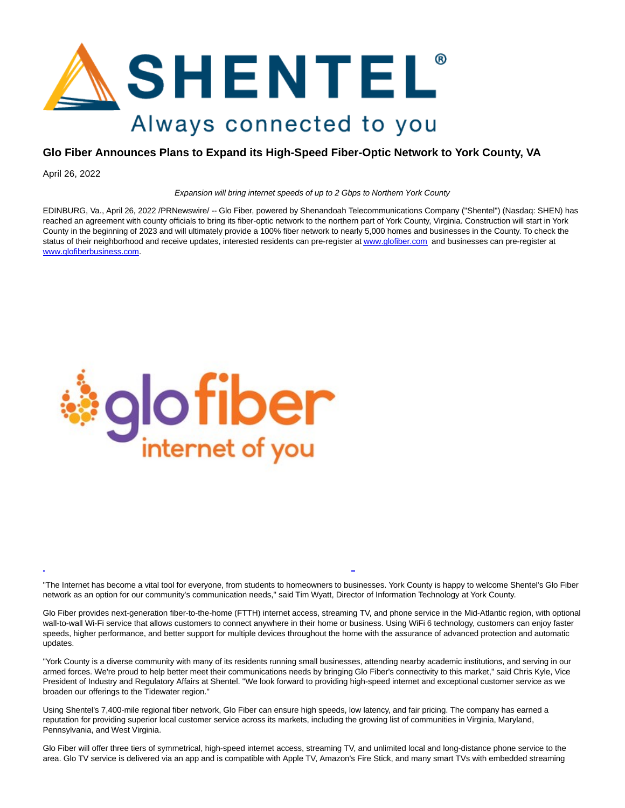

## **Glo Fiber Announces Plans to Expand its High-Speed Fiber-Optic Network to York County, VA**

April 26, 2022

Expansion will bring internet speeds of up to 2 Gbps to Northern York County

EDINBURG, Va., April 26, 2022 /PRNewswire/ -- Glo Fiber, powered by Shenandoah Telecommunications Company ("Shentel") (Nasdaq: SHEN) has reached an agreement with county officials to bring its fiber-optic network to the northern part of York County, Virginia. Construction will start in York County in the beginning of 2023 and will ultimately provide a 100% fiber network to nearly 5,000 homes and businesses in the County. To check the status of their neighborhood and receive updates, interested residents can pre-register a[t www.glofiber.com](https://c212.net/c/link/?t=0&l=en&o=3513503-1&h=2047083325&u=http%3A%2F%2Fwww.glofiber.com%2F&a=www.glofiber.com) and businesses can pre-register at [www.glofiberbusiness.com.](https://c212.net/c/link/?t=0&l=en&o=3513503-1&h=1312631594&u=http%3A%2F%2Fwww.glofiberbusiness.com%2F&a=www.glofiberbusiness.com)



"The Internet has become a vital tool for everyone, from students to homeowners to businesses. York County is happy to welcome Shentel's Glo Fiber network as an option for our community's communication needs," said Tim Wyatt, Director of Information Technology at York County.

L

Glo Fiber provides next-generation fiber-to-the-home (FTTH) internet access, streaming TV, and phone service in the Mid-Atlantic region, with optional wall-to-wall Wi-Fi service that allows customers to connect anywhere in their home or business. Using WiFi 6 technology, customers can enjoy faster speeds, higher performance, and better support for multiple devices throughout the home with the assurance of advanced protection and automatic updates.

"York County is a diverse community with many of its residents running small businesses, attending nearby academic institutions, and serving in our armed forces. We're proud to help better meet their communications needs by bringing Glo Fiber's connectivity to this market," said Chris Kyle, Vice President of Industry and Regulatory Affairs at Shentel. "We look forward to providing high-speed internet and exceptional customer service as we broaden our offerings to the Tidewater region."

Using Shentel's 7,400-mile regional fiber network, Glo Fiber can ensure high speeds, low latency, and fair pricing. The company has earned a reputation for providing superior local customer service across its markets, including the growing list of communities in Virginia, Maryland, Pennsylvania, and West Virginia.

Glo Fiber will offer three tiers of symmetrical, high-speed internet access, streaming TV, and unlimited local and long-distance phone service to the area. Glo TV service is delivered via an app and is compatible with Apple TV, Amazon's Fire Stick, and many smart TVs with embedded streaming